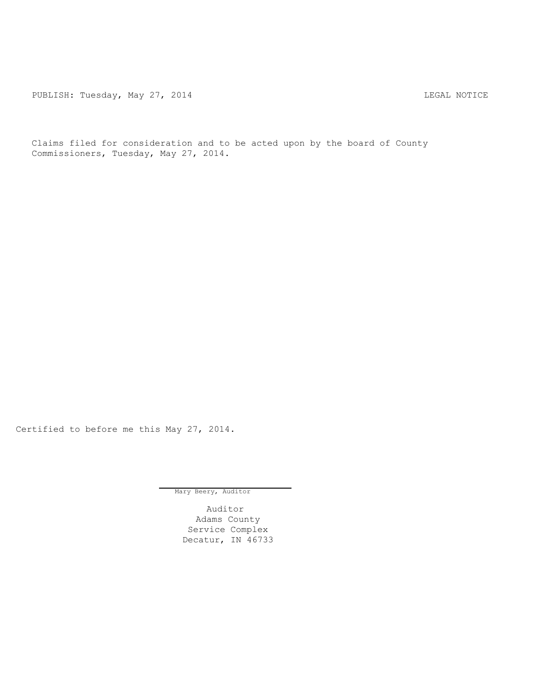PUBLISH: Tuesday, May 27, 2014 CHA CHANGE CONTROLLING MOTICE

Claims filed for consideration and to be acted upon by the board of County Commissioners, Tuesday, May 27, 2014.

Certified to before me this May 27, 2014.

Mary Beery, Auditor

Auditor Adams County Service Complex Decatur, IN 46733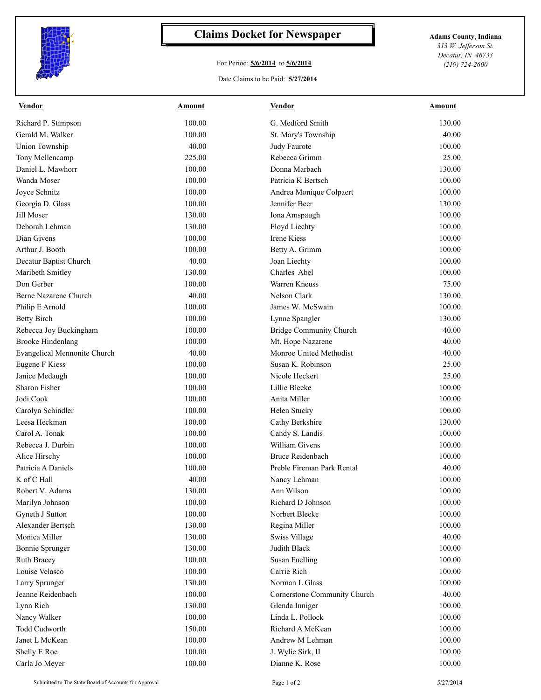

## **Claims Docket for Newspaper Adams County, Indiana**

## For Period: **5/6/2014** to **5/6/2014**

Date Claims to be Paid: **5/27/2014**

*313 W. Jefferson St. Decatur, IN 46733 (219) 724-2600*

| <b>Vendor</b>                       | Amount | <b>Vendor</b>                  | Amount |
|-------------------------------------|--------|--------------------------------|--------|
| Richard P. Stimpson                 | 100.00 | G. Medford Smith               | 130.00 |
| Gerald M. Walker                    | 100.00 | St. Mary's Township            | 40.00  |
| <b>Union Township</b>               | 40.00  | Judy Faurote                   | 100.00 |
| Tony Mellencamp                     | 225.00 | Rebecca Grimm                  | 25.00  |
| Daniel L. Mawhorr                   | 100.00 | Donna Marbach                  | 130.00 |
| Wanda Moser                         | 100.00 | Patricia K Bertsch             | 100.00 |
| Joyce Schnitz                       | 100.00 | Andrea Monique Colpaert        | 100.00 |
| Georgia D. Glass                    | 100.00 | Jennifer Beer                  | 130.00 |
| Jill Moser                          | 130.00 | Iona Amspaugh                  | 100.00 |
| Deborah Lehman                      | 130.00 | Floyd Liechty                  | 100.00 |
| Dian Givens                         | 100.00 | Irene Kiess                    | 100.00 |
| Arthur J. Booth                     | 100.00 | Betty A. Grimm                 | 100.00 |
| Decatur Baptist Church              | 40.00  | Joan Liechty                   | 100.00 |
| Maribeth Smitley                    | 130.00 | Charles Abel                   | 100.00 |
| Don Gerber                          | 100.00 | Warren Kneuss                  | 75.00  |
| Berne Nazarene Church               | 40.00  | Nelson Clark                   | 130.00 |
| Philip E Arnold                     | 100.00 | James W. McSwain               | 100.00 |
| <b>Betty Birch</b>                  | 100.00 | Lynne Spangler                 | 130.00 |
| Rebecca Joy Buckingham              | 100.00 | <b>Bridge Community Church</b> | 40.00  |
| <b>Brooke Hindenlang</b>            | 100.00 | Mt. Hope Nazarene              | 40.00  |
| <b>Evangelical Mennonite Church</b> | 40.00  | Monroe United Methodist        | 40.00  |
| Eugene F Kiess                      | 100.00 | Susan K. Robinson              | 25.00  |
| Janice Medaugh                      | 100.00 | Nicole Heckert                 | 25.00  |
| Sharon Fisher                       | 100.00 | Lillie Bleeke                  | 100.00 |
| Jodi Cook                           | 100.00 | Anita Miller                   | 100.00 |
| Carolyn Schindler                   | 100.00 | Helen Stucky                   | 100.00 |
| Leesa Heckman                       | 100.00 | Cathy Berkshire                | 130.00 |
| Carol A. Tonak                      | 100.00 | Candy S. Landis                | 100.00 |
| Rebecca J. Durbin                   | 100.00 | William Givens                 | 100.00 |
| Alice Hirschy                       | 100.00 | <b>Bruce Reidenbach</b>        | 100.00 |
| Patricia A Daniels                  | 100.00 | Preble Fireman Park Rental     | 40.00  |
| K of C Hall                         | 40.00  | Nancy Lehman                   | 100.00 |
| Robert V. Adams                     | 130.00 | Ann Wilson                     | 100.00 |
| Marilyn Johnson                     | 100.00 | Richard D Johnson              | 100.00 |
| Gyneth J Sutton                     | 100.00 | Norbert Bleeke                 | 100.00 |
| Alexander Bertsch                   | 130.00 | Regina Miller                  | 100.00 |
| Monica Miller                       | 130.00 | Swiss Village                  | 40.00  |
| <b>Bonnie Sprunger</b>              | 130.00 | Judith Black                   | 100.00 |
| Ruth Bracey                         | 100.00 | <b>Susan Fuelling</b>          | 100.00 |
| Louise Velasco                      | 100.00 | Carrie Rich                    | 100.00 |
| Larry Sprunger                      | 130.00 | Norman L Glass                 | 100.00 |
| Jeanne Reidenbach                   | 100.00 | Cornerstone Community Church   | 40.00  |
| Lynn Rich                           | 130.00 | Glenda Inniger                 | 100.00 |
| Nancy Walker                        | 100.00 | Linda L. Pollock               | 100.00 |
| Todd Cudworth                       | 150.00 | Richard A McKean               | 100.00 |
| Janet L McKean                      | 100.00 | Andrew M Lehman                | 100.00 |
| Shelly E Roe                        | 100.00 | J. Wylie Sirk, II              | 100.00 |
| Carla Jo Meyer                      | 100.00 | Dianne K. Rose                 | 100.00 |
|                                     |        |                                |        |